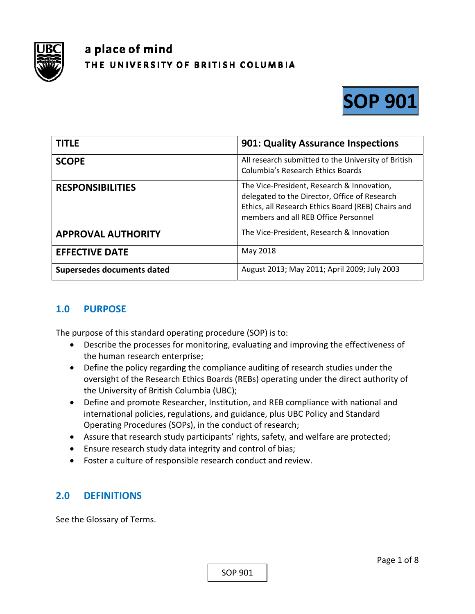

# a place of mind THE UNIVERSITY OF BRITISH COLUMBIA



| <b>TITLE</b>               | <b>901: Quality Assurance Inspections</b>                                                                                                                                                 |
|----------------------------|-------------------------------------------------------------------------------------------------------------------------------------------------------------------------------------------|
| <b>SCOPE</b>               | All research submitted to the University of British<br><b>Columbia's Research Ethics Boards</b>                                                                                           |
| <b>RESPONSIBILITIES</b>    | The Vice-President, Research & Innovation,<br>delegated to the Director, Office of Research<br>Ethics, all Research Ethics Board (REB) Chairs and<br>members and all REB Office Personnel |
| <b>APPROVAL AUTHORITY</b>  | The Vice-President, Research & Innovation                                                                                                                                                 |
| <b>EFFECTIVE DATE</b>      | May 2018                                                                                                                                                                                  |
| Supersedes documents dated | August 2013; May 2011; April 2009; July 2003                                                                                                                                              |

## **1.0 PURPOSE**

The purpose of this standard operating procedure (SOP) is to:

- Describe the processes for monitoring, evaluating and improving the effectiveness of the human research enterprise;
- Define the policy regarding the compliance auditing of research studies under the oversight of the Research Ethics Boards (REBs) operating under the direct authority of the University of British Columbia (UBC);
- Define and promote Researcher, Institution, and REB compliance with national and international policies, regulations, and guidance, plus UBC Policy and Standard Operating Procedures (SOPs), in the conduct of research;
- Assure that research study participants' rights, safety, and welfare are protected;
- Ensure research study data integrity and control of bias;
- Foster a culture of responsible research conduct and review.

## **2.0 DEFINITIONS**

See the Glossary of Terms.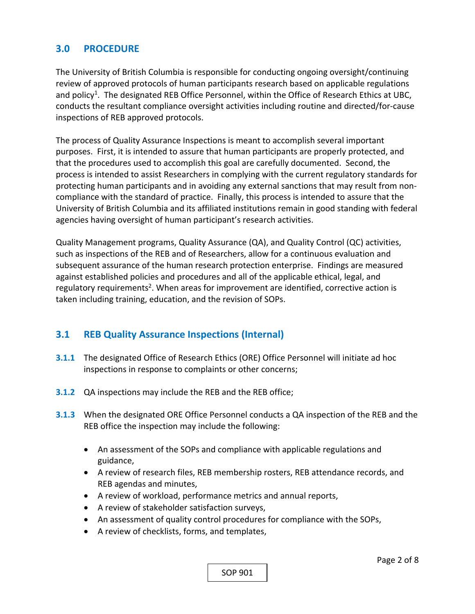## **3.0 PROCEDURE**

The University of British Columbia is responsible for conducting ongoing oversight/continuing review of approved protocols of human participants research based on applicable regulations and policy<sup>1</sup>. The designated REB Office Personnel, within the Office of Research Ethics at UBC, conducts the resultant compliance oversight activities including routine and directed/for‐cause inspections of REB approved protocols.

The process of Quality Assurance Inspections is meant to accomplish several important purposes. First, it is intended to assure that human participants are properly protected, and that the procedures used to accomplish this goal are carefully documented. Second, the process is intended to assist Researchers in complying with the current regulatory standards for protecting human participants and in avoiding any external sanctions that may result from non‐ compliance with the standard of practice. Finally, this process is intended to assure that the University of British Columbia and its affiliated institutions remain in good standing with federal agencies having oversight of human participant's research activities.

Quality Management programs, Quality Assurance (QA), and Quality Control (QC) activities, such as inspections of the REB and of Researchers, allow for a continuous evaluation and subsequent assurance of the human research protection enterprise. Findings are measured against established policies and procedures and all of the applicable ethical, legal, and regulatory requirements<sup>2</sup>. When areas for improvement are identified, corrective action is taken including training, education, and the revision of SOPs.

## **3.1 REB Quality Assurance Inspections (Internal)**

- **3.1.1** The designated Office of Research Ethics (ORE) Office Personnel will initiate ad hoc inspections in response to complaints or other concerns;
- **3.1.2** QA inspections may include the REB and the REB office;
- **3.1.3**  When the designated ORE Office Personnel conducts a QA inspection of the REB and the REB office the inspection may include the following:
	- An assessment of the SOPs and compliance with applicable regulations and guidance,
	- A review of research files, REB membership rosters, REB attendance records, and REB agendas and minutes,
	- A review of workload, performance metrics and annual reports,
	- A review of stakeholder satisfaction surveys,
	- An assessment of quality control procedures for compliance with the SOPs,
	- A review of checklists, forms, and templates,

SOP 901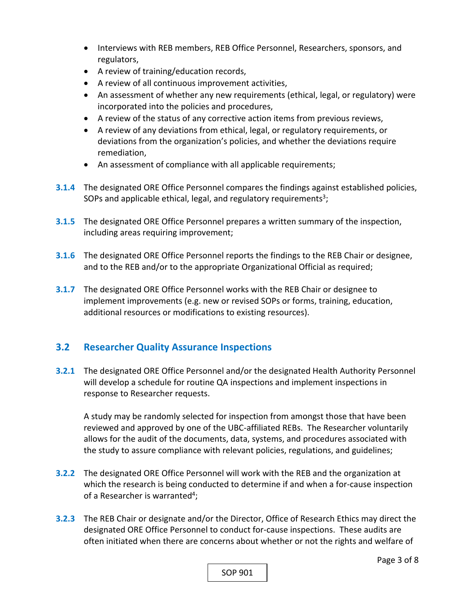- Interviews with REB members, REB Office Personnel, Researchers, sponsors, and regulators,
- A review of training/education records,
- A review of all continuous improvement activities,
- An assessment of whether any new requirements (ethical, legal, or regulatory) were incorporated into the policies and procedures,
- A review of the status of any corrective action items from previous reviews,
- A review of any deviations from ethical, legal, or regulatory requirements, or deviations from the organization's policies, and whether the deviations require remediation,
- An assessment of compliance with all applicable requirements;
- **3.1.4**  The designated ORE Office Personnel compares the findings against established policies, SOPs and applicable ethical, legal, and regulatory requirements<sup>3</sup>;
- **3.1.5**  The designated ORE Office Personnel prepares a written summary of the inspection, including areas requiring improvement;
- **3.1.6**  The designated ORE Office Personnel reports the findings to the REB Chair or designee, and to the REB and/or to the appropriate Organizational Official as required;
- **3.1.7**  The designated ORE Office Personnel works with the REB Chair or designee to implement improvements (e.g. new or revised SOPs or forms, training, education, additional resources or modifications to existing resources).

## **3.2 Researcher Quality Assurance Inspections**

**3.2.1** The designated ORE Office Personnel and/or the designated Health Authority Personnel will develop a schedule for routine QA inspections and implement inspections in response to Researcher requests.

A study may be randomly selected for inspection from amongst those that have been reviewed and approved by one of the UBC‐affiliated REBs. The Researcher voluntarily allows for the audit of the documents, data, systems, and procedures associated with the study to assure compliance with relevant policies, regulations, and guidelines;

- **3.2.2** The designated ORE Office Personnel will work with the REB and the organization at which the research is being conducted to determine if and when a for-cause inspection of a Researcher is warranted<sup>4</sup>;
- **3.2.3**  The REB Chair or designate and/or the Director, Office of Research Ethics may direct the designated ORE Office Personnel to conduct for‐cause inspections. These audits are often initiated when there are concerns about whether or not the rights and welfare of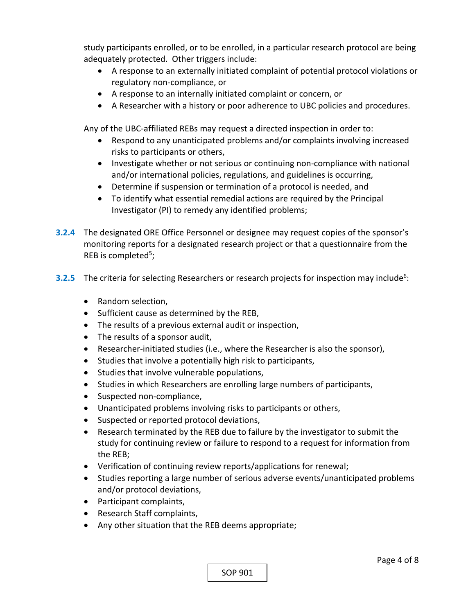study participants enrolled, or to be enrolled, in a particular research protocol are being adequately protected. Other triggers include:

- A response to an externally initiated complaint of potential protocol violations or regulatory non‐compliance, or
- A response to an internally initiated complaint or concern, or
- A Researcher with a history or poor adherence to UBC policies and procedures.

Any of the UBC‐affiliated REBs may request a directed inspection in order to:

- Respond to any unanticipated problems and/or complaints involving increased risks to participants or others,
- Investigate whether or not serious or continuing non-compliance with national and/or international policies, regulations, and guidelines is occurring,
- Determine if suspension or termination of a protocol is needed, and
- To identify what essential remedial actions are required by the Principal Investigator (PI) to remedy any identified problems;
- **3.2.4**  The designated ORE Office Personnel or designee may request copies of the sponsor's monitoring reports for a designated research project or that a questionnaire from the REB is completed<sup>5</sup>;
- **3.2.5** The criteria for selecting Researchers or research projects for inspection may include<sup>6</sup>:
	- Random selection,
	- Sufficient cause as determined by the REB,
	- The results of a previous external audit or inspection,
	- The results of a sponsor audit,
	- Researcher-initiated studies (i.e., where the Researcher is also the sponsor),
	- Studies that involve a potentially high risk to participants,
	- Studies that involve vulnerable populations,
	- Studies in which Researchers are enrolling large numbers of participants,
	- Suspected non-compliance,
	- Unanticipated problems involving risks to participants or others,
	- Suspected or reported protocol deviations,
	- Research terminated by the REB due to failure by the investigator to submit the study for continuing review or failure to respond to a request for information from the REB;
	- Verification of continuing review reports/applications for renewal;
	- Studies reporting a large number of serious adverse events/unanticipated problems and/or protocol deviations,
	- Participant complaints,
	- Research Staff complaints,
	- Any other situation that the REB deems appropriate;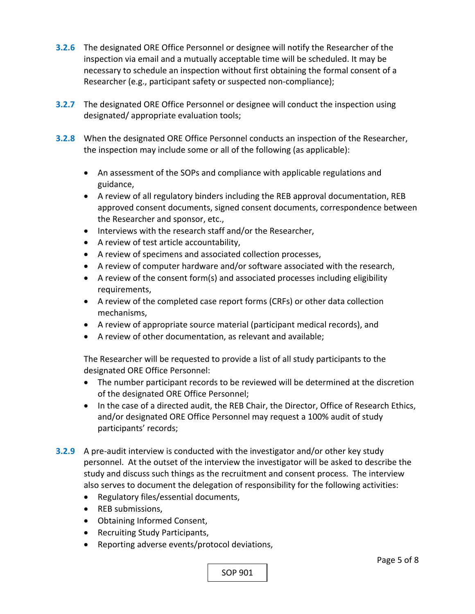- **3.2.6**  The designated ORE Office Personnel or designee will notify the Researcher of the inspection via email and a mutually acceptable time will be scheduled. It may be necessary to schedule an inspection without first obtaining the formal consent of a Researcher (e.g., participant safety or suspected non‐compliance);
- **3.2.7** The designated ORE Office Personnel or designee will conduct the inspection using designated/ appropriate evaluation tools;
- **3.2.8**  When the designated ORE Office Personnel conducts an inspection of the Researcher, the inspection may include some or all of the following (as applicable):
	- An assessment of the SOPs and compliance with applicable regulations and guidance,
	- A review of all regulatory binders including the REB approval documentation, REB approved consent documents, signed consent documents, correspondence between the Researcher and sponsor, etc.,
	- Interviews with the research staff and/or the Researcher,
	- A review of test article accountability,
	- A review of specimens and associated collection processes,
	- A review of computer hardware and/or software associated with the research,
	- A review of the consent form(s) and associated processes including eligibility requirements,
	- A review of the completed case report forms (CRFs) or other data collection mechanisms,
	- A review of appropriate source material (participant medical records), and
	- A review of other documentation, as relevant and available;

The Researcher will be requested to provide a list of all study participants to the designated ORE Office Personnel:

- The number participant records to be reviewed will be determined at the discretion of the designated ORE Office Personnel;
- In the case of a directed audit, the REB Chair, the Director, Office of Research Ethics, and/or designated ORE Office Personnel may request a 100% audit of study participants' records;
- **3.2.9** A pre-audit interview is conducted with the investigator and/or other key study personnel. At the outset of the interview the investigator will be asked to describe the study and discuss such things as the recruitment and consent process. The interview also serves to document the delegation of responsibility for the following activities:
	- Regulatory files/essential documents,
	- REB submissions,
	- Obtaining Informed Consent,
	- Recruiting Study Participants,
	- Reporting adverse events/protocol deviations,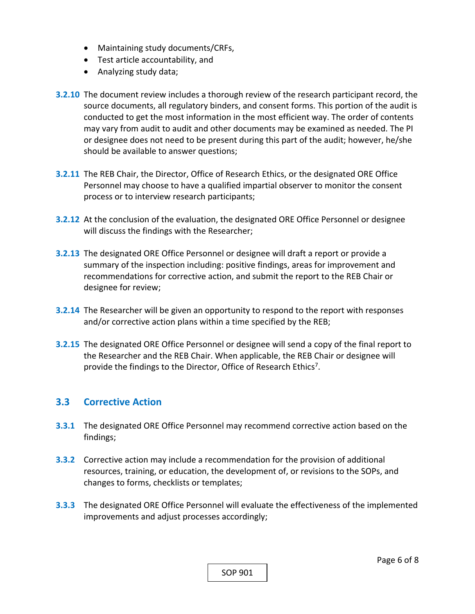- Maintaining study documents/CRFs,
- Test article accountability, and
- Analyzing study data;
- **3.2.10**  The document review includes a thorough review of the research participant record, the source documents, all regulatory binders, and consent forms. This portion of the audit is conducted to get the most information in the most efficient way. The order of contents may vary from audit to audit and other documents may be examined as needed. The PI or designee does not need to be present during this part of the audit; however, he/she should be available to answer questions;
- **3.2.11**  The REB Chair, the Director, Office of Research Ethics, or the designated ORE Office Personnel may choose to have a qualified impartial observer to monitor the consent process or to interview research participants;
- **3.2.12**  At the conclusion of the evaluation, the designated ORE Office Personnel or designee will discuss the findings with the Researcher;
- **3.2.13**  The designated ORE Office Personnel or designee will draft a report or provide a summary of the inspection including: positive findings, areas for improvement and recommendations for corrective action, and submit the report to the REB Chair or designee for review;
- **3.2.14**  The Researcher will be given an opportunity to respond to the report with responses and/or corrective action plans within a time specified by the REB;
- **3.2.15**  The designated ORE Office Personnel or designee will send a copy of the final report to the Researcher and the REB Chair. When applicable, the REB Chair or designee will provide the findings to the Director, Office of Research Ethics<sup>7</sup>.

#### **3.3 Corrective Action**

- **3.3.1** The designated ORE Office Personnel may recommend corrective action based on the findings;
- **3.3.2** Corrective action may include a recommendation for the provision of additional resources, training, or education, the development of, or revisions to the SOPs, and changes to forms, checklists or templates;
- **3.3.3**  The designated ORE Office Personnel will evaluate the effectiveness of the implemented improvements and adjust processes accordingly;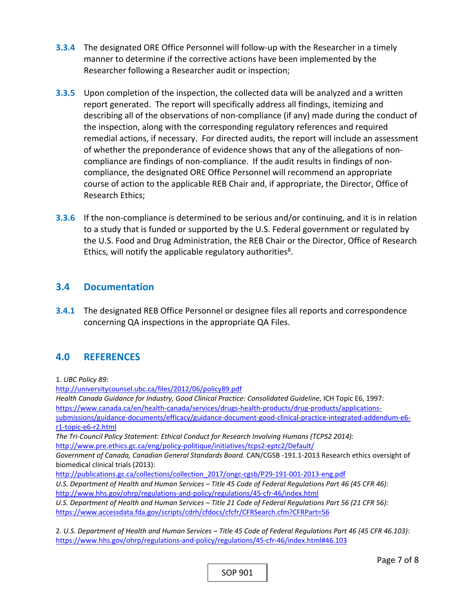- **3.3.4**  The designated ORE Office Personnel will follow‐up with the Researcher in a timely manner to determine if the corrective actions have been implemented by the Researcher following a Researcher audit or inspection;
- **3.3.5**  Upon completion of the inspection, the collected data will be analyzed and a written report generated. The report will specifically address all findings, itemizing and describing all of the observations of non‐compliance (if any) made during the conduct of the inspection, along with the corresponding regulatory references and required remedial actions, if necessary. For directed audits, the report will include an assessment of whether the preponderance of evidence shows that any of the allegations of non‐ compliance are findings of non‐compliance. If the audit results in findings of non‐ compliance, the designated ORE Office Personnel will recommend an appropriate course of action to the applicable REB Chair and, if appropriate, the Director, Office of Research Ethics;
- **3.3.6** If the non-compliance is determined to be serious and/or continuing, and it is in relation to a study that is funded or supported by the U.S. Federal government or regulated by the U.S. Food and Drug Administration, the REB Chair or the Director, Office of Research Ethics, will notify the applicable regulatory authorities $8$ .

#### **3.4 Documentation**

**3.4.1** The designated REB Office Personnel or designee files all reports and correspondence concerning QA inspections in the appropriate QA Files.

## **4.0 REFERENCES**

1. *UBC Policy 89*:

http://universitycounsel.ubc.ca/files/2012/06/policy89.pdf *Health Canada Guidance for Industry, Good Clinical Practice: Consolidated Guideline*, ICH Topic E6, 1997: https://www.canada.ca/en/health-canada/services/drugs-health-products/drug-products/applicationssubmissions/guidance-documents/efficacy/guidance-document-good-clinical-practice-integrated-addendum-e6r1‐topic‐e6‐r2.html *The Tri‐Council Policy Statement: Ethical Conduct for Research Involving Humans (TCPS2 2014):* http://www.pre.ethics.gc.ca/eng/policy-politique/initiatives/tcps2-eptc2/Default/ *Government of Canada, Canadian General Standards Board.* CAN/CGSB ‐191.1‐2013 Research ethics oversight of biomedical clinical trials (2013): http://publications.gc.ca/collections/collection\_2017/ongc-cgsb/P29-191-001-2013-eng.pdf *U.S. Department of Health and Human Services – Title 45 Code of Federal Regulations Part 46 (45 CFR 46):*  http://www.hhs.gov/ohrp/regulations‐and‐policy/regulations/45‐cfr‐46/index.html *U.S. Department of Health and Human Services – Title 21 Code of Federal Regulations Part 56 (21 CFR 56):*  https://www.accessdata.fda.gov/scripts/cdrh/cfdocs/cfcfr/CFRSearch.cfm?CFRPart=56

2. *U.S. Department of Health and Human Services – Title 45 Code of Federal Regulations Part 46 (45 CFR 46.103):*  https://www.hhs.gov/ohrp/regulations‐and‐policy/regulations/45‐cfr‐46/index.html#46.103

SOP 901